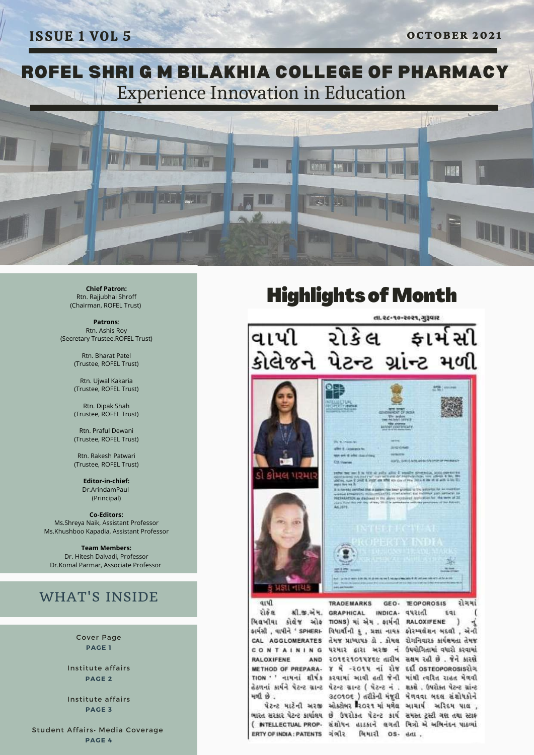

**Chief Patron:** Rtn. Rajjubhai Shroff (Chairman, ROFEL Trust)

**Patrons**: Rtn. Ashis Roy (Secretary Trustee,ROFEL Trust)

> Rtn. Bharat Patel (Trustee, ROFEL Trust)

> Rtn. Ujwal Kakaria (Trustee, ROFEL Trust)

> Rtn. Dipak Shah (Trustee, ROFEL Trust)

Rtn. Praful Dewani (Trustee, ROFEL Trust)

Rtn. Rakesh Patwari (Trustee, ROFEL Trust)

> **Editor-in-chief:** Dr.ArindamPaul (Principal)

**Co-Editors:** Ms.Shreya Naik, Assistant Professor Ms.Khushboo Kapadia, Assistant Professor

**Team Members:** Dr. Hitesh Dalvadi, Professor Dr.Komal Parmar, Associate Professor

### WHAT'S INSIDE

Cover Page **PAGE 1**

Institute affairs **PAGE 2**

Institute affairs **PAGE 3**

Student Affairs• Media Coverage **PAGE 4**

### **Highlights of Month**



રોકે લ **RALOXIFENE** 

ભારત સરકાર પેટન્ટ કાર્યાલય છે ઉપરોકત પેટન્ટ કાર્ય સમસ્ત ટસ્ટી ગણ તથા સ્ટાફ ( INTELLECTUAL PROP- સંશોધન હાડકાને લગતી મિત્રો એ અભિનંદન પાઠવ્યાં ERTY OF INDIA: PATENTS DIALE AULT OS. BIL.

મળી છે.

શી.જી.એમ. GRAPHICAL INDICA- વપરાતી મિલખીયા કોલેજ ઓક nows) માં એમ. ફાર્મની RALOXIFENE કાર્યસી, વાપીને 'SPHERI- વિધાર્થીની કુ, પ્રજ્ઞા નાયક કોરમ્યલેશન બદલી, એની CAL AGGLOMERATES તેમજ પ્રાધ્યાપક હો. કોમલ રોગનિવારક કાર્યક્ષમતા તેમજ CONTAINING પરમાર દ્વારા અરજી નં ઉપયોગિતામાં વધારો કરવામાં AND 201521014856 તારીખ સલમ રહી છે. જેને કારણે METHOD OF PREPARA- 8 4 -2014 Hi 218 EE OSTEOPOROSIS214 TION '' નામનાં શીર્ષક કરવામાં આવી હતી જેની માંથી ત્વરિત રાહત મેળવી હેઠળનાં કાર્યને પેટન્ટ ગ્રાન્ટ પેટન્ટ ગ્રાન્ટ ( પેટન્ટ નં. શકશે. ઉપરોક્ત પેટન્ટ ગ્રાંન્ટ 36010€) તરીકેની મંજૂરી મેળવવા બદલ સંશોધકોને પેટન્ટ માટેની અરજી ઓક્ટોબર રિ૦૨૧ માં મળેલ આ ચાર્ય અરિદમ પાલ,

 $591$ я  $\mathcal{I}$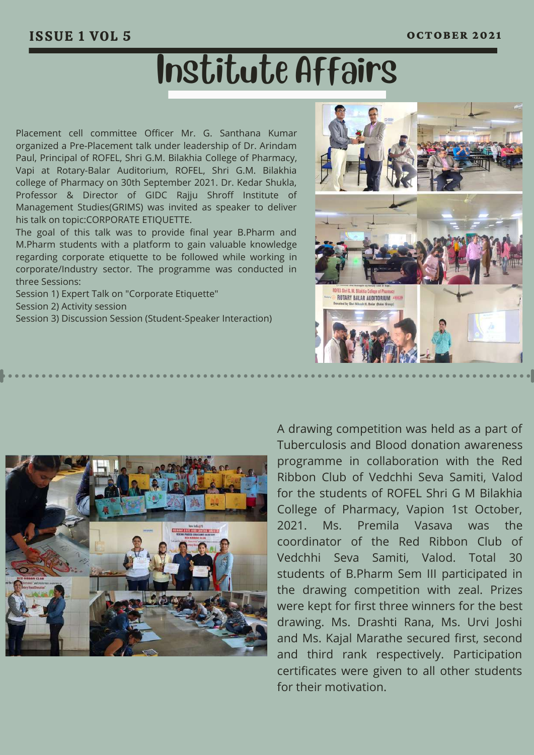# Institute Affairs

Placement cell committee Officer Mr. G. Santhana Kumar organized a Pre-Placement talk under leadership of Dr. Arindam Paul, Principal of ROFEL, Shri G.M. Bilakhia College of Pharmacy, Vapi at Rotary-Balar Auditorium, ROFEL, Shri G.M. Bilakhia college of Pharmacy on 30th September 2021. Dr. Kedar Shukla, Professor & Director of GIDC Rajju Shroff Institute of Management Studies(GRIMS) was invited as speaker to deliver his talk on topic:CORPORATE ETIQUETTE.

The goal of this talk was to provide final year B.Pharm and M.Pharm students with a platform to gain valuable knowledge regarding corporate etiquette to be followed while working in corporate/Industry sector. The programme was conducted in three Sessions:

Session 1) Expert Talk on "Corporate Etiquette" Session 2) Activity session Session 3) Discussion Session (Student-Speaker Interaction)





A drawing competition was held as a part of Tuberculosis and Blood donation awareness programme in collaboration with the Red Ribbon Club of Vedchhi Seva Samiti, Valod for the students of ROFEL Shri G M Bilakhia College of Pharmacy, Vapion 1st October, 2021. Ms. Premila Vasava was the coordinator of the Red Ribbon Club of Vedchhi Seva Samiti, Valod. Total 30 students of B.Pharm Sem III participated in the drawing competition with zeal. Prizes were kept for first three winners for the best drawing. Ms. Drashti Rana, Ms. Urvi Joshi and Ms. Kajal Marathe secured first, second and third rank respectively. Participation certificates were given to all other students for their motivation.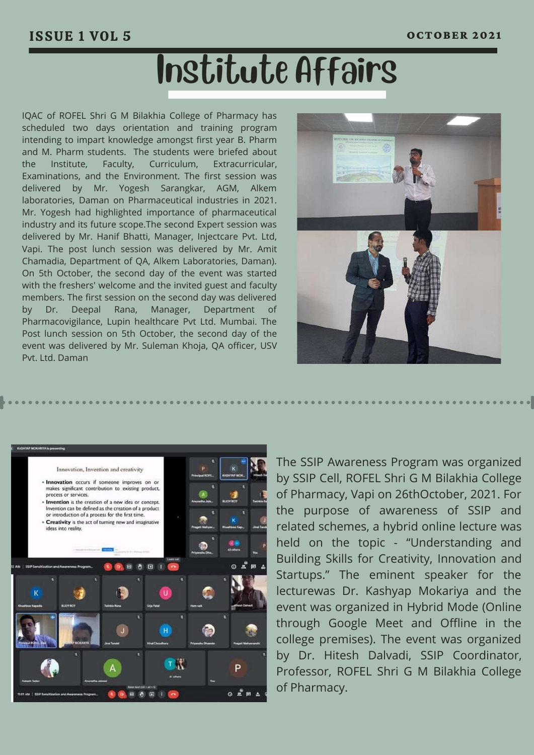## Institute Affairs

IQAC of ROFEL Shri G M Bilakhia College of Pharmacy has scheduled two days orientation and training program intending to impart knowledge amongst first year B. Pharm and M. Pharm students. The students were briefed about the Institute, Faculty, Curriculum, Extracurricular, Examinations, and the Environment. The first session was delivered by Mr. Yogesh Sarangkar, AGM, Alkem laboratories, Daman on Pharmaceutical industries in 2021. Mr. Yogesh had highlighted importance of pharmaceutical industry and its future scope.The second Expert session was delivered by Mr. Hanif Bhatti, Manager, Injectcare Pvt. Ltd, Vapi. The post lunch session was delivered by Mr. Amit Chamadia, Department of QA, Alkem Laboratories, Daman). On 5th October, the second day of the event was started with the freshers' welcome and the invited guest and faculty members. The first session on the second day was delivered by Dr. Deepal Rana, Manager, Department of Pharmacovigilance, Lupin healthcare Pvt Ltd. Mumbai. The Post lunch session on 5th October, the second day of the event was delivered by Mr. Suleman Khoja, QA officer, USV Pvt. Ltd. Daman





The SSIP Awareness Program was organized by SSIP Cell, ROFEL Shri G M Bilakhia College of Pharmacy, Vapi on 26thOctober, 2021. For the purpose of awareness of SSIP and related schemes, a hybrid online lecture was held on the topic - "Understanding and Building Skills for Creativity, Innovation and Startups." The eminent speaker for the lecturewas Dr. Kashyap Mokariya and the event was organized in Hybrid Mode (Online through Google Meet and Offline in the college premises). The event was organized by Dr. Hitesh Dalvadi, SSIP Coordinator, Professor, ROFEL Shri G M Bilakhia College of Pharmacy.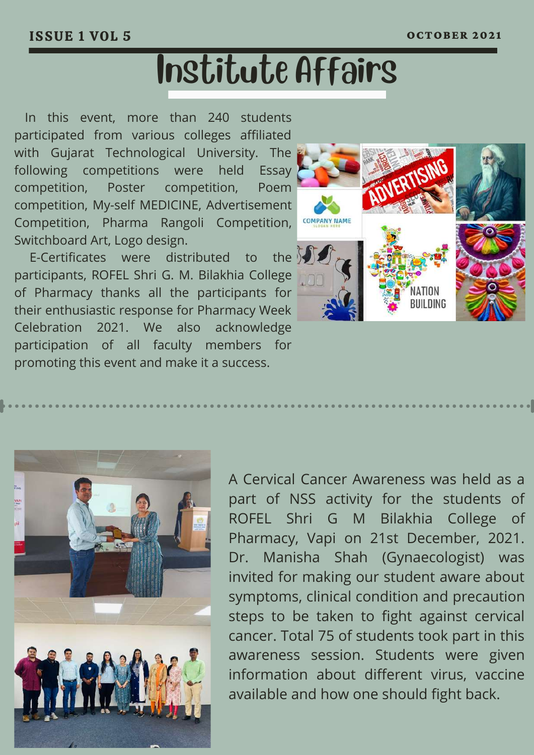# Institute Affairs

In this event, more than 240 students participated from various colleges affiliated with Gujarat Technological University. The following competitions were held Essay competition, Poster competition, Poem competition, My-self MEDICINE, Advertisement Competition, Pharma Rangoli Competition, Switchboard Art, Logo design.

E-Certificates were distributed to the participants, ROFEL Shri G. M. Bilakhia College of Pharmacy thanks all the participants for their enthusiastic response for Pharmacy Week Celebration 2021. We also acknowledge participation of all faculty members for promoting this event and make it a success.





A Cervical Cancer Awareness was held as a part of NSS activity for the students of ROFEL Shri G M Bilakhia College of Pharmacy, Vapi on 21st December, 2021. Dr. Manisha Shah (Gynaecologist) was invited for making our student aware about symptoms, clinical condition and precaution steps to be taken to fight against cervical cancer. Total 75 of students took part in this awareness session. Students were given information about different virus, vaccine available and how one should fight back.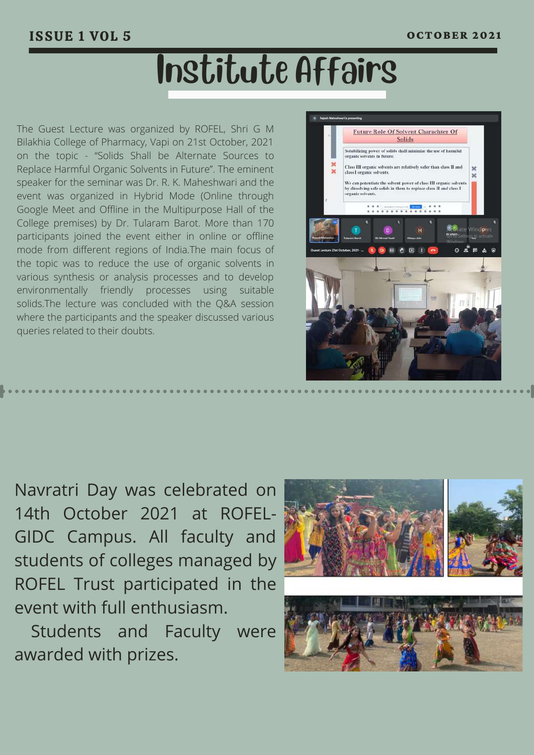# Institute Affairs

The Guest Lecture was organized by ROFEL, Shri G M Bilakhia College of Pharmacy, Vapi on 21st October, 2021 on the topic - "Solids Shall be Alternate Sources to Replace Harmful Organic Solvents in Future". The eminent speaker for the seminar was Dr. R. K. Maheshwari and the event was organized in Hybrid Mode (Online through Google Meet and Offline in the Multipurpose Hall of the College premises) by Dr. Tularam Barot. More than 170 participants joined the event either in online or offline mode from different regions of India.The main focus of the topic was to reduce the use of organic solvents in various synthesis or analysis processes and to develop environmentally friendly processes using suitable solids.The lecture was concluded with the Q&A session where the participants and the speaker discussed various queries related to their doubts.



Navratri Day was celebrated on 14th October 2021 at ROFEL-GIDC Campus. All faculty and students of colleges managed by ROFEL Trust participated in the event with full enthusiasm.

Students and Faculty were awarded with prizes.